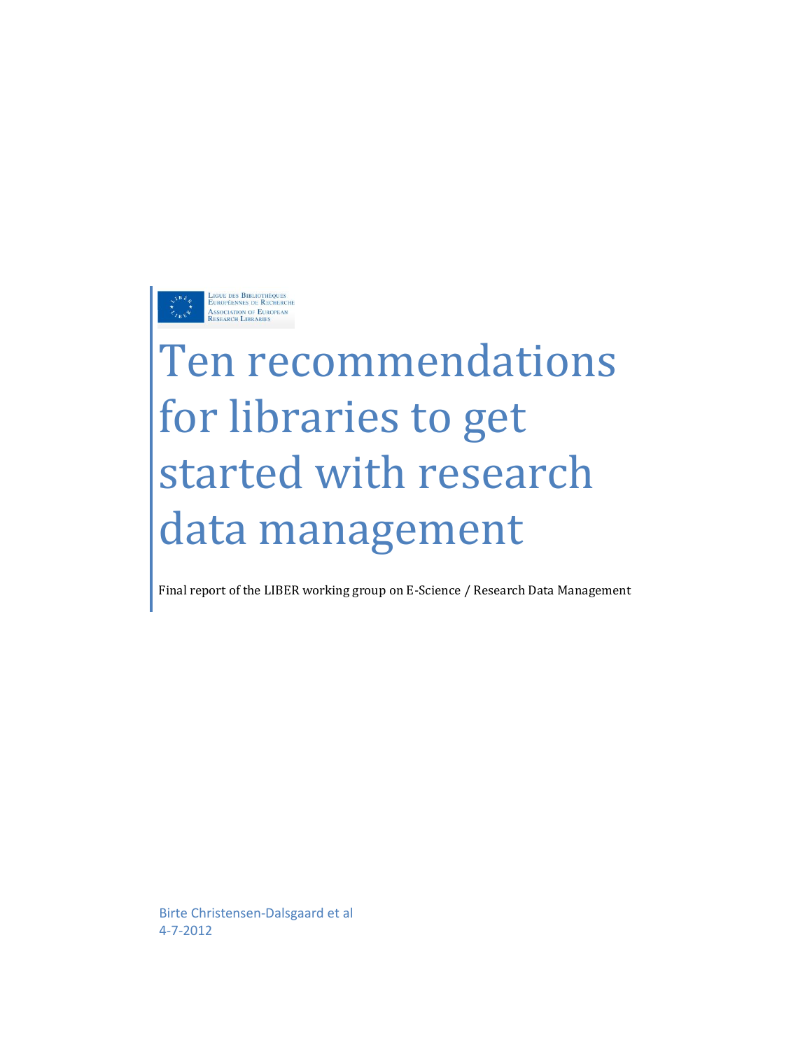

# Ten recommendations for libraries to get started with research data management

Final report of the LIBER working group on E-Science / Research Data Management

Birte Christensen-Dalsgaard et al 4-7-2012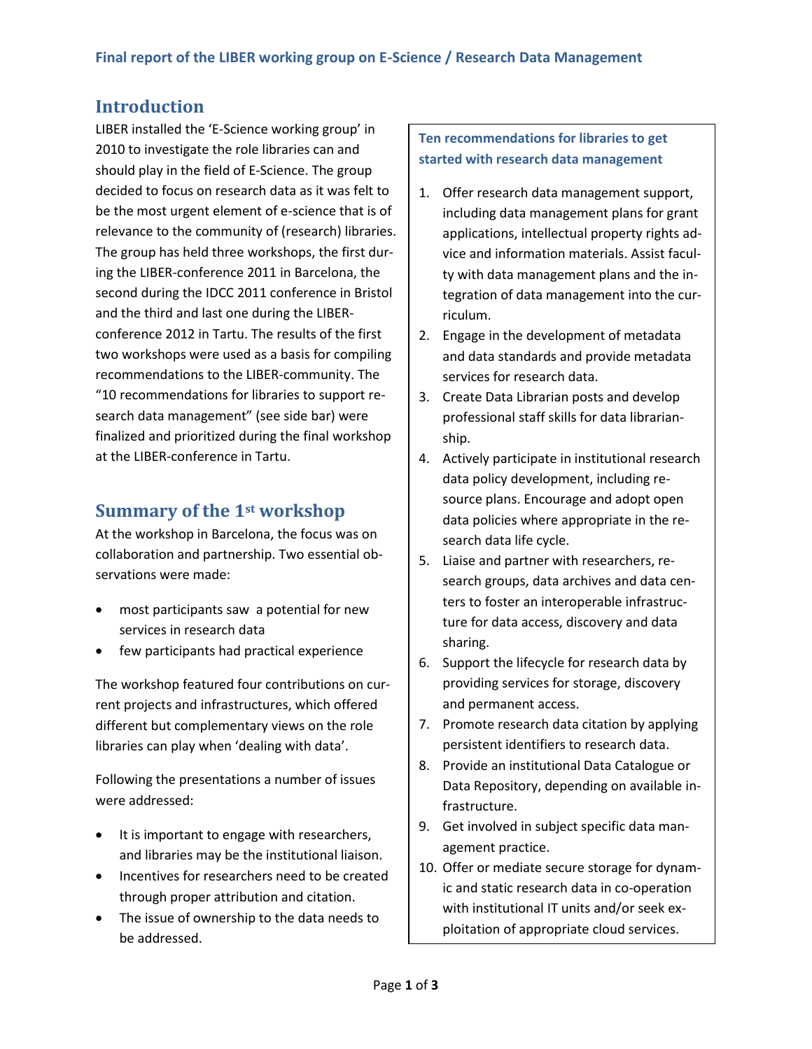## **Introduction**

LIBER installed the 'E-Science working group' in 2010 to investigate the role libraries can and should play in the field of E-Science. The group decided to focus on research data as it was felt to be the most urgent element of e-science that is of relevance to the community of (research) libraries. The group has held three workshops, the first during the LIBER-conference 2011 in Barcelona, the second during the IDCC 2011 conference in Bristol and the third and last one during the LIBERconference 2012 in Tartu. The results of the first two workshops were used as a basis for compiling recommendations to the LIBER-community. The "10 recommendations for libraries to support research data management" (see side bar) were finalized and prioritized during the final workshop at the LIBER-conference in Tartu.

## **Summary of the 1st workshop**

At the workshop in Barcelona, the focus was on collaboration and partnership. Two essential observations were made:

- most participants saw a potential for new services in research data
- few participants had practical experience

The workshop featured four contributions on current projects and infrastructures, which offered different but complementary views on the role libraries can play when 'dealing with data'.

Following the presentations a number of issues were addressed:

- It is important to engage with researchers, and libraries may be the institutional liaison.
- Incentives for researchers need to be created through proper attribution and citation.
- The issue of ownership to the data needs to be addressed.

#### **Ten recommendations for libraries to get started with research data management**

- 1. Offer research data management support, including data management plans for grant applications, intellectual property rights advice and information materials. Assist faculty with data management plans and the integration of data management into the curriculum.
- 2. Engage in the development of metadata and data standards and provide metadata services for research data.
- 3. Create Data Librarian posts and develop professional staff skills for data librarianship.
- 4. Actively participate in institutional research data policy development, including resource plans. Encourage and adopt open data policies where appropriate in the research data life cycle.
- 5. Liaise and partner with researchers, research groups, data archives and data centers to foster an interoperable infrastructure for data access, discovery and data sharing.
- 6. Support the lifecycle for research data by providing services for storage, discovery and permanent access.
- 7. Promote research data citation by applying persistent identifiers to research data.
- 8. Provide an institutional Data Catalogue or Data Repository, depending on available infrastructure.
- 9. Get involved in subject specific data management practice.
- 10. Offer or mediate secure storage for dynamic and static research data in co-operation with institutional IT units and/or seek exploitation of appropriate cloud services.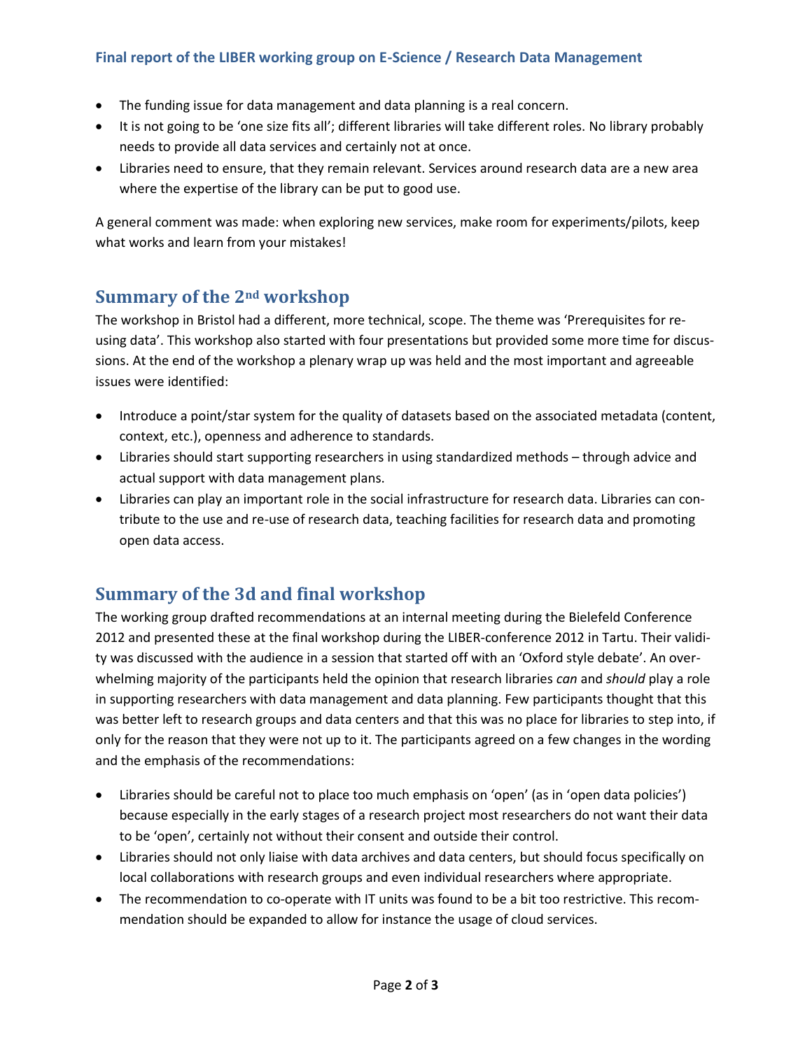#### **Final report of the LIBER working group on E-Science / Research Data Management**

- The funding issue for data management and data planning is a real concern.
- It is not going to be 'one size fits all'; different libraries will take different roles. No library probably needs to provide all data services and certainly not at once.
- Libraries need to ensure, that they remain relevant. Services around research data are a new area where the expertise of the library can be put to good use.

A general comment was made: when exploring new services, make room for experiments/pilots, keep what works and learn from your mistakes!

## **Summary of the 2nd workshop**

The workshop in Bristol had a different, more technical, scope. The theme was 'Prerequisites for reusing data'. This workshop also started with four presentations but provided some more time for discussions. At the end of the workshop a plenary wrap up was held and the most important and agreeable issues were identified:

- Introduce a point/star system for the quality of datasets based on the associated metadata (content, context, etc.), openness and adherence to standards.
- Libraries should start supporting researchers in using standardized methods through advice and actual support with data management plans.
- Libraries can play an important role in the social infrastructure for research data. Libraries can contribute to the use and re-use of research data, teaching facilities for research data and promoting open data access.

## **Summary of the 3d and final workshop**

The working group drafted recommendations at an internal meeting during the Bielefeld Conference 2012 and presented these at the final workshop during the LIBER-conference 2012 in Tartu. Their validity was discussed with the audience in a session that started off with an 'Oxford style debate'. An overwhelming majority of the participants held the opinion that research libraries *can* and *should* play a role in supporting researchers with data management and data planning. Few participants thought that this was better left to research groups and data centers and that this was no place for libraries to step into, if only for the reason that they were not up to it. The participants agreed on a few changes in the wording and the emphasis of the recommendations:

- Libraries should be careful not to place too much emphasis on 'open' (as in 'open data policies') because especially in the early stages of a research project most researchers do not want their data to be 'open', certainly not without their consent and outside their control.
- Libraries should not only liaise with data archives and data centers, but should focus specifically on local collaborations with research groups and even individual researchers where appropriate.
- The recommendation to co-operate with IT units was found to be a bit too restrictive. This recommendation should be expanded to allow for instance the usage of cloud services.